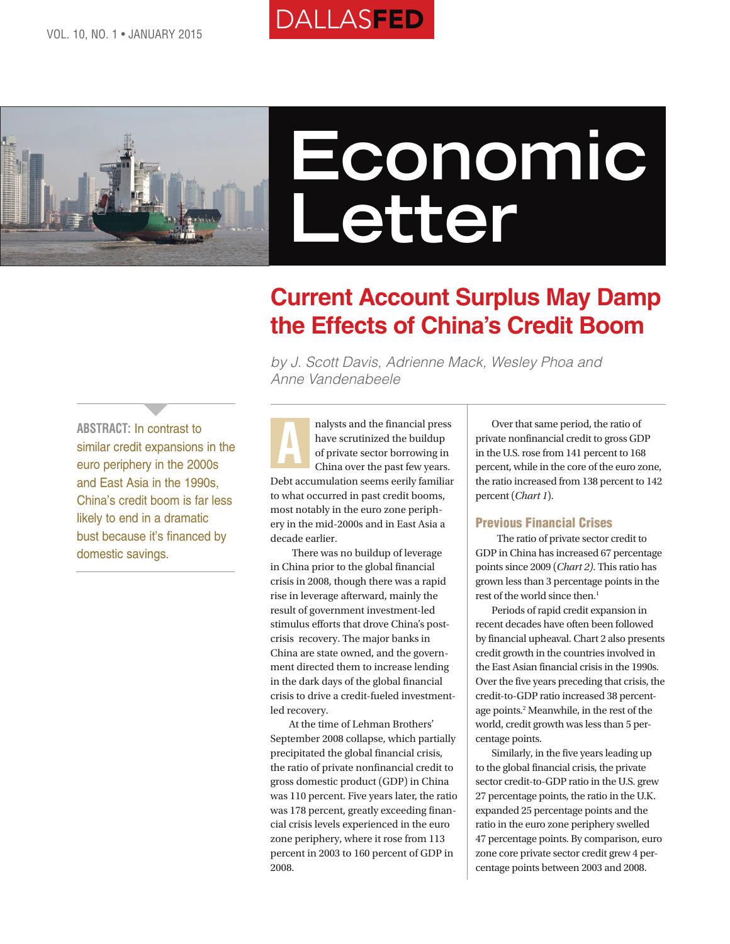



# **Economic Letter**

# **Current Account Surplus May Damp the Effects of China's Credit Boom**

*by J. Scott Davis, Adrienne Mack, Wesley Phoa and Anne Vandenabeele*

**ABSTRACT:** In contrast to similar credit expansions in the euro periphery in the 2000s and East Asia in the 1990s, China's credit boom is far less likely to end in a dramatic bust because it's financed by domestic savings.

**}** 

nalysts and the financial press have scrutinized the buildup of private sector borrowing in China over the past few years. Debt accumulation seems eerily familiar to what occurred in past credit booms, most notably in the euro zone periphery in the mid-2000s and in East Asia a decade earlier. A

There was no buildup of leverage in China prior to the global financial crisis in 2008, though there was a rapid rise in leverage afterward, mainly the result of government investment-led stimulus efforts that drove China's postcrisis recovery. The major banks in China are state owned, and the government directed them to increase lending in the dark days of the global financial crisis to drive a credit-fueled investmentled recovery.

 At the time of Lehman Brothers' September 2008 collapse, which partially precipitated the global financial crisis, the ratio of private nonfinancial credit to gross domestic product (GDP) in China was 110 percent. Five years later, the ratio was 178 percent, greatly exceeding financial crisis levels experienced in the euro zone periphery, where it rose from 113 percent in 2003 to 160 percent of GDP in 2008.

Over that same period, the ratio of private nonfinancial credit to gross GDP in the U.S. rose from 141 percent to 168 percent, while in the core of the euro zone, the ratio increased from 138 percent to 142 percent (*Chart 1*).

#### Previous Financial Crises

The ratio of private sector credit to GDP in China has increased 67 percentage points since 2009 (*Chart 2)*. This ratio has grown less than 3 percentage points in the rest of the world since then.<sup>1</sup>

Periods of rapid credit expansion in recent decades have often been followed by financial upheaval. Chart 2 also presents credit growth in the countries involved in the East Asian financial crisis in the 1990s. Over the five years preceding that crisis, the credit-to-GDP ratio increased 38 percentage points.2 Meanwhile, in the rest of the world, credit growth was less than 5 percentage points.

Similarly, in the five years leading up to the global financial crisis, the private sector credit-to-GDP ratio in the U.S. grew 27 percentage points, the ratio in the U.K. expanded 25 percentage points and the ratio in the euro zone periphery swelled 47 percentage points. By comparison, euro zone core private sector credit grew 4 percentage points between 2003 and 2008.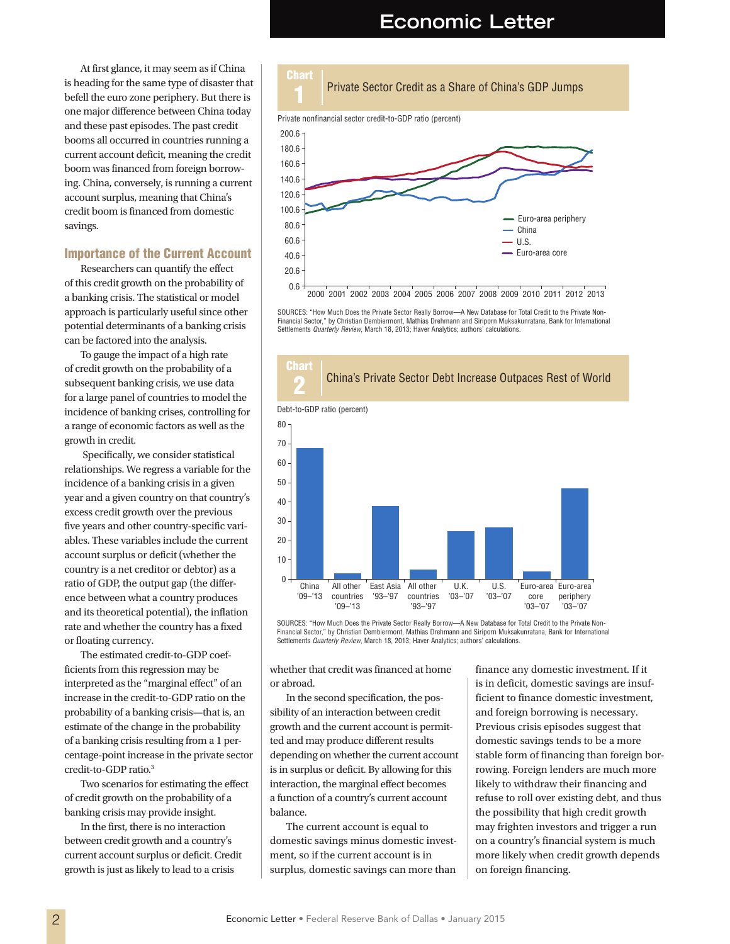## **Economic Letter**

At first glance, it may seem as if China is heading for the same type of disaster that befell the euro zone periphery. But there is one major difference between China today and these past episodes. The past credit booms all occurred in countries running a current account deficit, meaning the credit boom was financed from foreign borrowing. China, conversely, is running a current account surplus, meaning that China's credit boom is financed from domestic savings.

#### Importance of the Current Account

Researchers can quantify the effect of this credit growth on the probability of a banking crisis. The statistical or model approach is particularly useful since other potential determinants of a banking crisis can be factored into the analysis.

To gauge the impact of a high rate of credit growth on the probability of a subsequent banking crisis, we use data for a large panel of countries to model the incidence of banking crises, controlling for a range of economic factors as well as the growth in credit.

 Specifically, we consider statistical relationships. We regress a variable for the incidence of a banking crisis in a given year and a given country on that country's excess credit growth over the previous five years and other country-specific variables. These variables include the current account surplus or deficit (whether the country is a net creditor or debtor) as a ratio of GDP, the output gap (the difference between what a country produces and its theoretical potential), the inflation rate and whether the country has a fixed or floating currency.

The estimated credit-to-GDP coefficients from this regression may be interpreted as the "marginal effect" of an increase in the credit-to-GDP ratio on the probability of a banking crisis—that is, an estimate of the change in the probability of a banking crisis resulting from a 1 percentage-point increase in the private sector credit-to-GDP ratio.3

Two scenarios for estimating the effect of credit growth on the probability of a banking crisis may provide insight.

In the first, there is no interaction between credit growth and a country's current account surplus or deficit. Credit growth is just as likely to lead to a crisis



SOURCES: "How Much Does the Private Sector Really Borrow—A New Database for Total Credit to the Private Non-Financial Sector," by Christian Dembiermont, Mathias Drehmann and Siriporn Muksakunratana, Bank for International Settlements *Quarterly Review*, March 18, 2013; Haver Analytics; authors' calculations.



SOURCES: "How Much Does the Private Sector Really Borrow—A New Database for Total Credit to the Private Non-Financial Sector," by Christian Dembiermont, Mathias Drehmann and Siriporn Muksakunratana, Bank for International Settlements *Quarterly Review*, March 18, 2013; Haver Analytics; authors' calculations.

whether that credit was financed at home or abroad.

In the second specification, the possibility of an interaction between credit growth and the current account is permitted and may produce different results depending on whether the current account is in surplus or deficit. By allowing for this interaction, the marginal effect becomes a function of a country's current account balance.

The current account is equal to domestic savings minus domestic investment, so if the current account is in surplus, domestic savings can more than

finance any domestic investment. If it is in deficit, domestic savings are insufficient to finance domestic investment, and foreign borrowing is necessary. Previous crisis episodes suggest that domestic savings tends to be a more stable form of financing than foreign borrowing. Foreign lenders are much more likely to withdraw their financing and refuse to roll over existing debt, and thus the possibility that high credit growth may frighten investors and trigger a run on a country's financial system is much more likely when credit growth depends on foreign financing.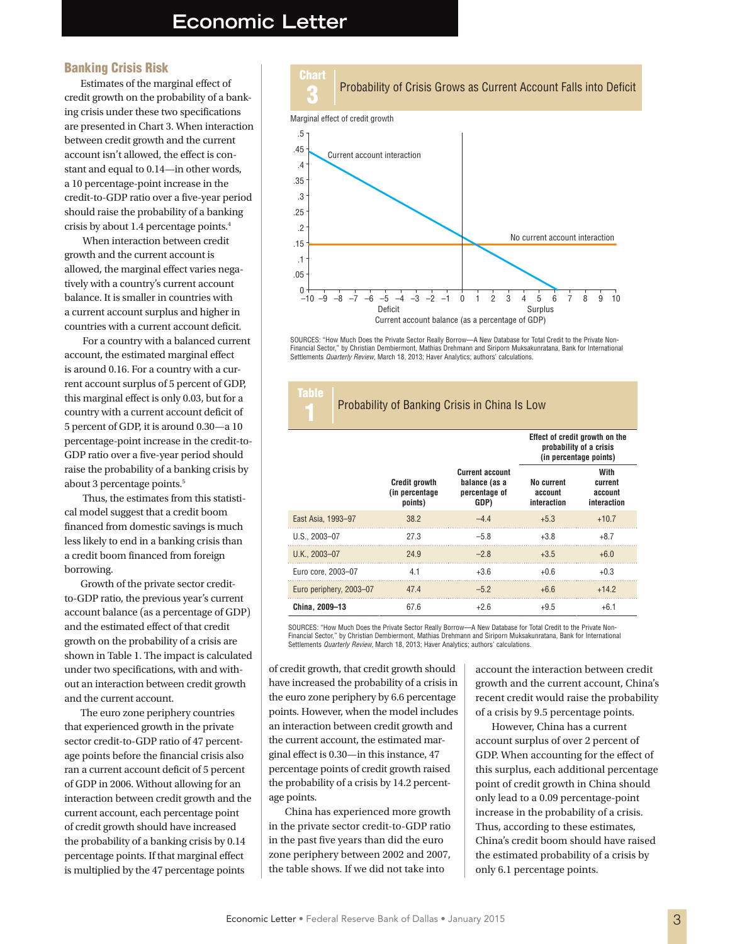### **Economic Letter**

Chart

'ahle

#### Banking Crisis Risk

Estimates of the marginal effect of credit growth on the probability of a banking crisis under these two specifications are presented in Chart 3. When interaction between credit growth and the current account isn't allowed, the effect is constant and equal to 0.14—in other words, a 10 percentage-point increase in the credit-to-GDP ratio over a five-year period should raise the probability of a banking crisis by about 1.4 percentage points.4

 When interaction between credit growth and the current account is allowed, the marginal effect varies negatively with a country's current account balance. It is smaller in countries with a current account surplus and higher in countries with a current account deficit.

 For a country with a balanced current account, the estimated marginal effect is around 0.16. For a country with a current account surplus of 5 percent of GDP, this marginal effect is only 0.03, but for a country with a current account deficit of 5 percent of GDP, it is around 0.30—a 10 percentage-point increase in the credit-to-GDP ratio over a five-year period should raise the probability of a banking crisis by about 3 percentage points.<sup>5</sup>

 Thus, the estimates from this statistical model suggest that a credit boom financed from domestic savings is much less likely to end in a banking crisis than a credit boom financed from foreign borrowing.

Growth of the private sector creditto-GDP ratio, the previous year's current account balance (as a percentage of GDP) and the estimated effect of that credit growth on the probability of a crisis are shown in Table 1. The impact is calculated under two specifications, with and without an interaction between credit growth and the current account.

The euro zone periphery countries that experienced growth in the private sector credit-to-GDP ratio of 47 percentage points before the financial crisis also ran a current account deficit of 5 percent of GDP in 2006. Without allowing for an interaction between credit growth and the current account, each percentage point of credit growth should have increased the probability of a banking crisis by 0.14 percentage points. If that marginal effect is multiplied by the 47 percentage points



SOURCES: "How Much Does the Private Sector Really Borrow—A New Database for Total Credit to the Private Non-Financial Sector," by Christian Dembiermont, Mathias Drehmann and Siriporn Muksakunratana, Bank for International<br>Settlements *Quarterly Review*, March 18, 2013; Haver Analytics; authors' calculations.

#### **Probability of Banking Crisis in China Is Low**

|                         |                                                    |                                                                  | Effect of credit growth on the<br>probability of a crisis<br>(in percentage points) |                                           |
|-------------------------|----------------------------------------------------|------------------------------------------------------------------|-------------------------------------------------------------------------------------|-------------------------------------------|
|                         | <b>Credit growth</b><br>(in percentage)<br>points) | <b>Current account</b><br>balance (as a<br>percentage of<br>GDP) | <b>No current</b><br>account<br>interaction                                         | With<br>current<br>account<br>interaction |
| East Asia, 1993-97      | 38.2                                               | $-44$                                                            | $+5.3$                                                                              | $+10.7$                                   |
| $U.S., 2003 - 07$       | 27.3                                               | $-5.8$                                                           | $+3.8$                                                                              | $+8.7$                                    |
| U.K., 2003-07           | 24.9                                               | $-28$                                                            | $+3.5$                                                                              | $+6.0$                                    |
| Euro core, 2003-07      | 4.1                                                | $+3.6$                                                           | $+0.6$                                                                              | $+0.3$                                    |
| Euro periphery, 2003-07 | 47.4                                               | $-5.2$                                                           | $+6.6$                                                                              | $+14.2$                                   |
| China, 2009-13          | 67.6                                               | $+2.6$                                                           | $+9.5$                                                                              | $+6.1$                                    |

SOURCES: "How Much Does the Private Sector Really Borrow—A New Database for Total Credit to the Private Non-Financial Sector," by Christian Dembiermont, Mathias Drehmann and Siriporn Muksakunratana, Bank for International Settlements *Quarterly Review*, March 18, 2013; Haver Analytics; authors' calculations.

of credit growth, that credit growth should have increased the probability of a crisis in the euro zone periphery by 6.6 percentage points. However, when the model includes an interaction between credit growth and the current account, the estimated marginal effect is 0.30—in this instance, 47 percentage points of credit growth raised the probability of a crisis by 14.2 percentage points.

China has experienced more growth in the private sector credit-to-GDP ratio in the past five years than did the euro zone periphery between 2002 and 2007, the table shows. If we did not take into

account the interaction between credit growth and the current account, China's recent credit would raise the probability of a crisis by 9.5 percentage points.

However, China has a current account surplus of over 2 percent of GDP. When accounting for the effect of this surplus, each additional percentage point of credit growth in China should only lead to a 0.09 percentage-point increase in the probability of a crisis. Thus, according to these estimates, China's credit boom should have raised the estimated probability of a crisis by only 6.1 percentage points.